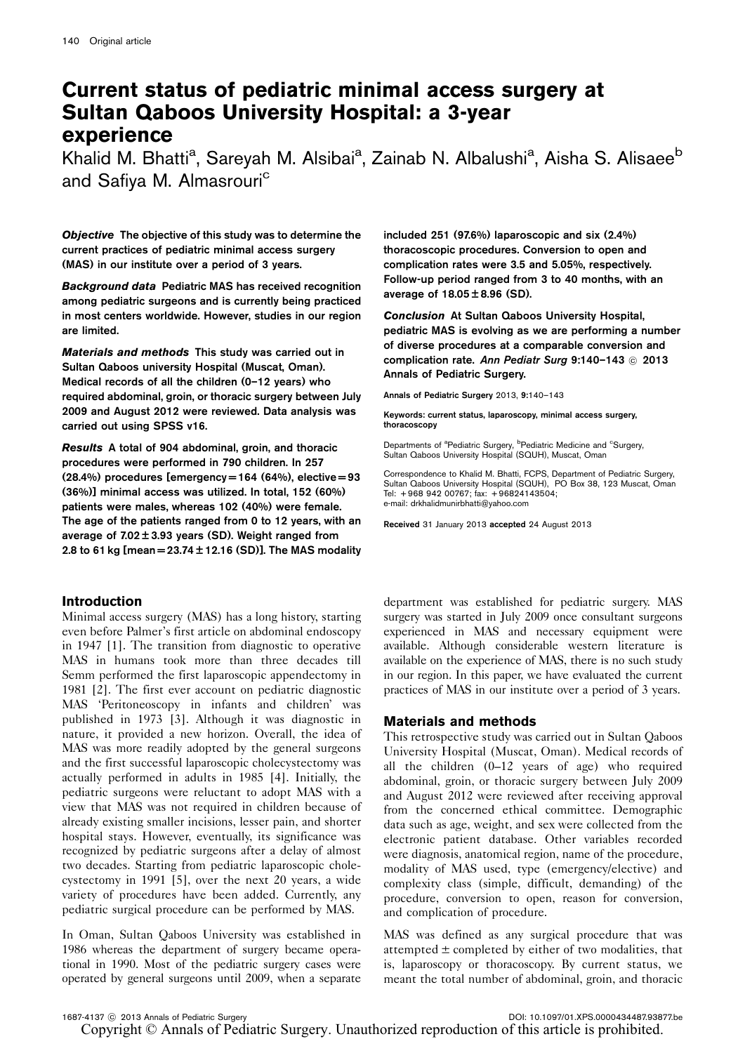# Current status of pediatric minimal access surgery at Sultan Qaboos University Hospital: a 3-year experience

Khalid M. Bhatti<sup>a</sup>, Sareyah M. Alsibai<sup>a</sup>, Zainab N. Albalushi<sup>a</sup>, Aisha S. Alisaee<sup>b</sup> and Safiya M. Almasrouri<sup>c</sup>

Objective The objective of this study was to determine the current practices of pediatric minimal access surgery (MAS) in our institute over a period of 3 years.

Background data Pediatric MAS has received recognition among pediatric surgeons and is currently being practiced in most centers worldwide. However, studies in our region are limited.

Materials and methods This study was carried out in Sultan Qaboos university Hospital (Muscat, Oman). Medical records of all the children (0–12 years) who required abdominal, groin, or thoracic surgery between July 2009 and August 2012 were reviewed. Data analysis was carried out using SPSS v16.

Results A total of 904 abdominal, groin, and thoracic procedures were performed in 790 children. In 257  $(28.4\%)$  procedures [emergency = 164  $(64\%)$ , elective = 93 (36%)] minimal access was utilized. In total, 152 (60%) patients were males, whereas 102 (40%) were female. The age of the patients ranged from 0 to 12 years, with an average of  $7.02 \pm 3.93$  years (SD). Weight ranged from 2.8 to 61 kg [mean =  $23.74 \pm 12.16$  (SD)]. The MAS modality

# Introduction

Minimal access surgery (MAS) has a long history, starting even before Palmer's first article on abdominal endoscopy in 1947 [\[1](#page-3-0)]. The transition from diagnostic to operative MAS in humans took more than three decades till Semm performed the first laparoscopic appendectomy in 1981 [\[2](#page-3-0)]. The first ever account on pediatric diagnostic MAS 'Peritoneoscopy in infants and children' was published in 1973 [\[3\]](#page-3-0). Although it was diagnostic in nature, it provided a new horizon. Overall, the idea of MAS was more readily adopted by the general surgeons and the first successful laparoscopic cholecystectomy was actually performed in adults in 1985 [\[4\]](#page-3-0). Initially, the pediatric surgeons were reluctant to adopt MAS with a view that MAS was not required in children because of already existing smaller incisions, lesser pain, and shorter hospital stays. However, eventually, its significance was recognized by pediatric surgeons after a delay of almost two decades. Starting from pediatric laparoscopic cholecystectomy in 1991 [\[5\]](#page-3-0), over the next 20 years, a wide variety of procedures have been added. Currently, any pediatric surgical procedure can be performed by MAS.

In Oman, Sultan Qaboos University was established in 1986 whereas the department of surgery became operational in 1990. Most of the pediatric surgery cases were operated by general surgeons until 2009, when a separate

included 251 (97.6%) laparoscopic and six (2.4%) thoracoscopic procedures. Conversion to open and complication rates were 3.5 and 5.05%, respectively. Follow-up period ranged from 3 to 40 months, with an average of  $18.05 \pm 8.96$  (SD).

Conclusion At Sultan Qaboos University Hospital, pediatric MAS is evolving as we are performing a number of diverse procedures at a comparable conversion and complication rate. Ann Pediatr Surg 9:140-143 @ 2013 Annals of Pediatric Surgery.

Annals of Pediatric Surgery 2013, 9:140–143

Keywords: current status, laparoscopy, minimal access surgery, thoracoscopy

Departments of <sup>a</sup>Pediatric Surgery, <sup>b</sup>Pediatric Medicine and <sup>c</sup>Surgery, Sultan Qaboos University Hospital (SQUH), Muscat, Oman

Correspondence to Khalid M. Bhatti, FCPS, Department of Pediatric Surgery, Sultan Qaboos University Hospital (SQUH), PO Box 38, 123 Muscat, Oman Tel: + 968 942 00767; fax: + 96824143504; e-mail: [drkhalidmunirbhatti@yahoo.com](mailto:drkhalidmunirbhatti@yahoo.com)

Received 31 January 2013 accepted 24 August 2013

department was established for pediatric surgery. MAS surgery was started in July 2009 once consultant surgeons experienced in MAS and necessary equipment were available. Although considerable western literature is available on the experience of MAS, there is no such study in our region. In this paper, we have evaluated the current practices of MAS in our institute over a period of 3 years.

## Materials and methods

This retrospective study was carried out in Sultan Qaboos University Hospital (Muscat, Oman). Medical records of all the children (0–12 years of age) who required abdominal, groin, or thoracic surgery between July 2009 and August 2012 were reviewed after receiving approval from the concerned ethical committee. Demographic data such as age, weight, and sex were collected from the electronic patient database. Other variables recorded were diagnosis, anatomical region, name of the procedure, modality of MAS used, type (emergency/elective) and complexity class (simple, difficult, demanding) of the procedure, conversion to open, reason for conversion, and complication of procedure.

MAS was defined as any surgical procedure that was attempted  $\pm$  completed by either of two modalities, that is, laparoscopy or thoracoscopy. By current status, we meant the total number of abdominal, groin, and thoracic

1687-4137 C 2013 Annals of Pediatric Surgery DOI: 10.1097/01.XPS.0000434487.93877.be Copyright © Annals of Pediatric Surgery. Unauthorized reproduction of this article is prohibited.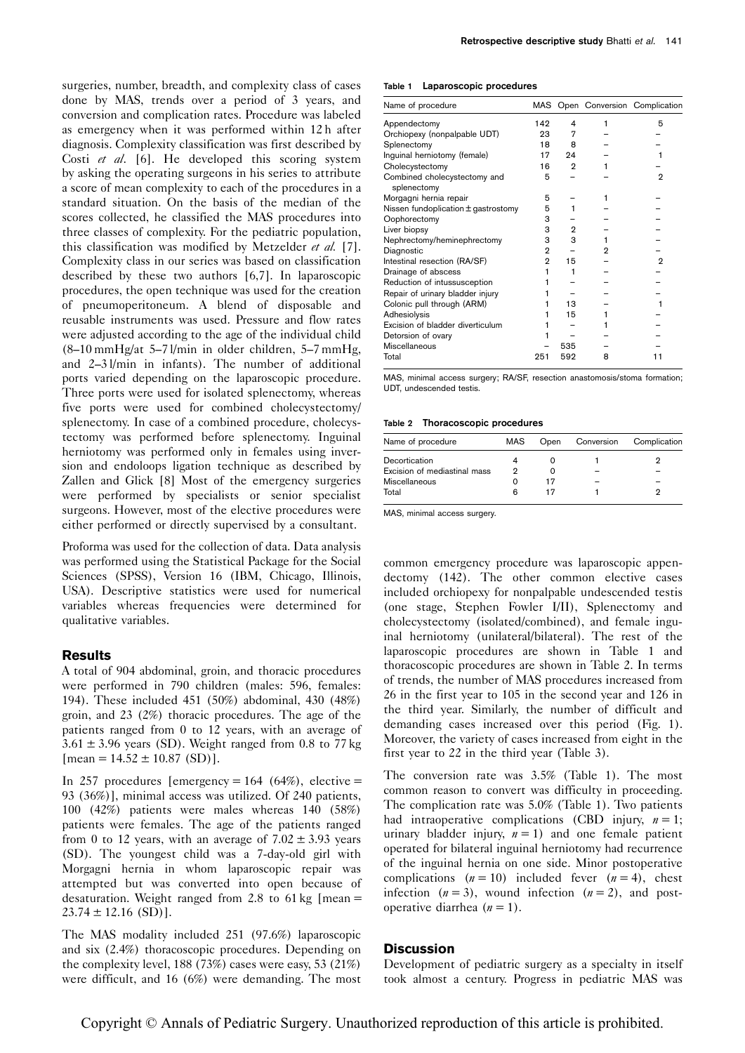surgeries, number, breadth, and complexity class of cases done by MAS, trends over a period of 3 years, and conversion and complication rates. Procedure was labeled as emergency when it was performed within 12 h after diagnosis. Complexity classification was first described by Costi et al. [\[6](#page-3-0)]. He developed this scoring system by asking the operating surgeons in his series to attribute a score of mean complexity to each of the procedures in a standard situation. On the basis of the median of the scores collected, he classified the MAS procedures into three classes of complexity. For the pediatric population, this classification was modified by Metzelder et al. [\[7](#page-3-0)]. Complexity class in our series was based on classification described by these two authors [\[6,7\]](#page-3-0). In laparoscopic procedures, the open technique was used for the creation of pneumoperitoneum. A blend of disposable and reusable instruments was used. Pressure and flow rates were adjusted according to the age of the individual child (8–10 mmHg/at 5–7 l/min in older children, 5–7 mmHg, and 2–3 l/min in infants). The number of additional ports varied depending on the laparoscopic procedure. Three ports were used for isolated splenectomy, whereas five ports were used for combined cholecystectomy/ splenectomy. In case of a combined procedure, cholecystectomy was performed before splenectomy. Inguinal herniotomy was performed only in females using inversion and endoloops ligation technique as described by Zallen and Glick [\[8](#page-3-0)] Most of the emergency surgeries were performed by specialists or senior specialist surgeons. However, most of the elective procedures were either performed or directly supervised by a consultant.

Proforma was used for the collection of data. Data analysis was performed using the Statistical Package for the Social Sciences (SPSS), Version 16 (IBM, Chicago, Illinois, USA). Descriptive statistics were used for numerical variables whereas frequencies were determined for qualitative variables.

## **Results**

A total of 904 abdominal, groin, and thoracic procedures were performed in 790 children (males: 596, females: 194). These included 451 (50%) abdominal, 430 (48%) groin, and 23 (2%) thoracic procedures. The age of the patients ranged from 0 to 12 years, with an average of  $3.61 \pm 3.96$  years (SD). Weight ranged from 0.8 to 77 kg  $[mean = 14.52 \pm 10.87$  (SD)].

In 257 procedures [emergency =  $164$  (64%), elective = 93 (36%)], minimal access was utilized. Of 240 patients, 100 (42%) patients were males whereas 140 (58%) patients were females. The age of the patients ranged from 0 to 12 years, with an average of  $7.02 \pm 3.93$  years (SD). The youngest child was a 7-day-old girl with Morgagni hernia in whom laparoscopic repair was attempted but was converted into open because of desaturation. Weight ranged from 2.8 to 61 kg  $[mean =$  $23.74 \pm 12.16$  (SD)].

The MAS modality included 251 (97.6%) laparoscopic and six (2.4%) thoracoscopic procedures. Depending on the complexity level, 188 (73%) cases were easy, 53 (21%) were difficult, and 16 (6%) were demanding. The most

#### Table 1 Laparoscopic procedures

| Name of procedure                           |                |     |   | MAS Open Conversion Complication |
|---------------------------------------------|----------------|-----|---|----------------------------------|
| Appendectomy                                | 142            | 4   |   | 5                                |
| Orchiopexy (nonpalpable UDT)                | 23             | 7   |   |                                  |
| Splenectomy                                 | 18             | 8   |   |                                  |
| Inguinal herniotomy (female)                | 17             | 24  |   |                                  |
| Cholecystectomy                             | 16             | 2   |   |                                  |
| Combined cholecystectomy and<br>splenectomy | 5              |     |   | $\mathbf{2}$                     |
| Morgagni hernia repair                      | 5              |     |   |                                  |
| Nissen fundoplication ± gastrostomy         | 5              |     |   |                                  |
| Oophorectomy                                | 3              |     |   |                                  |
| Liver biopsy                                | 3              | 2   |   |                                  |
| Nephrectomy/heminephrectomy                 | 3              | 3   |   |                                  |
| Diagnostic                                  | 2              |     | 2 |                                  |
| Intestinal resection (RA/SF)                | $\overline{2}$ | 15  |   | 2                                |
| Drainage of abscess                         |                | 1   |   |                                  |
| Reduction of intussusception                |                |     |   |                                  |
| Repair of urinary bladder injury            |                |     |   |                                  |
| Colonic pull through (ARM)                  |                | 13  |   |                                  |
| Adhesiolysis                                |                | 15  |   |                                  |
| Excision of bladder diverticulum            |                |     |   |                                  |
| Detorsion of ovary                          |                |     |   |                                  |
| Miscellaneous                               |                | 535 |   |                                  |
| Total                                       | 251            | 592 | 8 | 11                               |

MAS, minimal access surgery; RA/SF, resection anastomosis/stoma formation; UDT, undescended testis.

Table 2 Thoracoscopic procedures

| Name of procedure            | MAS | Open | Conversion | Complication |
|------------------------------|-----|------|------------|--------------|
| Decortication                |     |      |            |              |
| Excision of mediastinal mass | າ   |      |            |              |
| Miscellaneous                |     |      |            |              |
| Total                        | 6   |      |            |              |

MAS, minimal access surgery.

common emergency procedure was laparoscopic appendectomy (142). The other common elective cases included orchiopexy for nonpalpable undescended testis (one stage, Stephen Fowler I/II), Splenectomy and cholecystectomy (isolated/combined), and female inguinal herniotomy (unilateral/bilateral). The rest of the laparoscopic procedures are shown in Table 1 and thoracoscopic procedures are shown in Table 2. In terms of trends, the number of MAS procedures increased from 26 in the first year to 105 in the second year and 126 in the third year. Similarly, the number of difficult and demanding cases increased over this period [\(Fig. 1](#page-2-0)). Moreover, the variety of cases increased from eight in the first year to 22 in the third year [\(Table 3\)](#page-2-0).

The conversion rate was 3.5% (Table 1). The most common reason to convert was difficulty in proceeding. The complication rate was 5.0% (Table 1). Two patients had intraoperative complications (CBD injury,  $n = 1$ ; urinary bladder injury,  $n = 1$ ) and one female patient operated for bilateral inguinal herniotomy had recurrence of the inguinal hernia on one side. Minor postoperative complications  $(n = 10)$  included fever  $(n = 4)$ , chest infection  $(n = 3)$ , wound infection  $(n = 2)$ , and postoperative diarrhea  $(n = 1)$ .

## **Discussion**

Development of pediatric surgery as a specialty in itself took almost a century. Progress in pediatric MAS was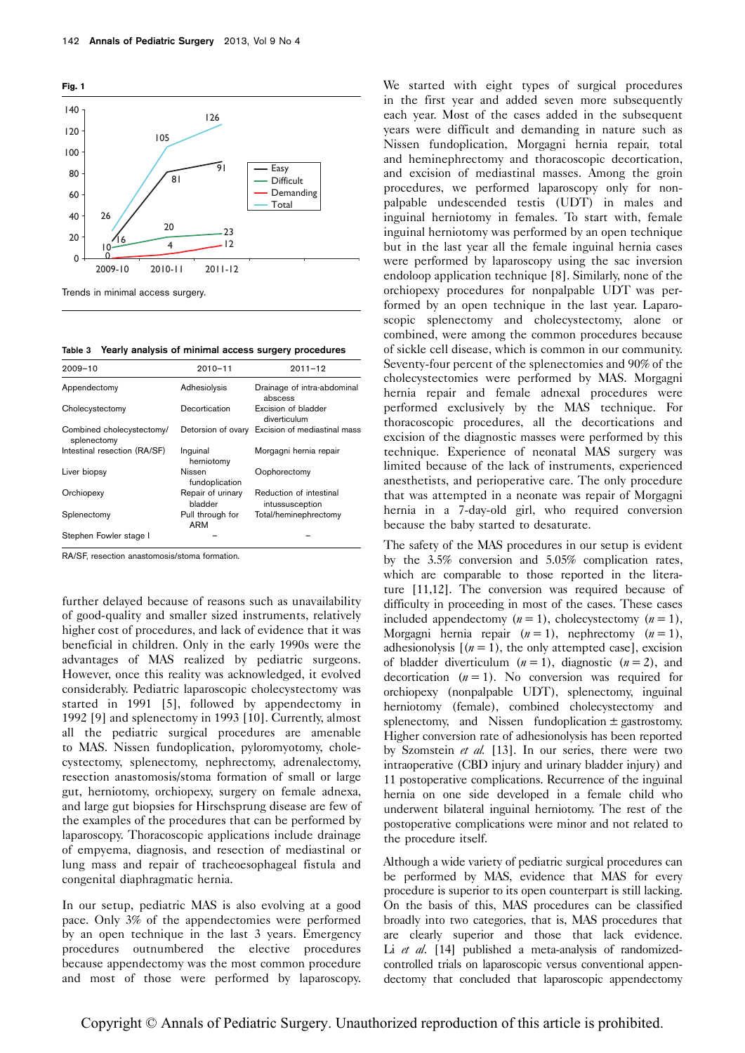<span id="page-2-0"></span>

Table 3 Yearly analysis of minimal access surgery procedures

| $2009 - 10$                              | $2010 - 11$                    | $2011 - 12$                                |
|------------------------------------------|--------------------------------|--------------------------------------------|
| Appendectomy                             | Adhesiolysis                   | Drainage of intra-abdominal<br>abscess     |
| Cholecystectomy                          | Decortication                  | Excision of bladder<br>diverticulum        |
| Combined cholecystectomy/<br>splenectomy | Detorsion of ovary             | Excision of mediastinal mass               |
| Intestinal resection (RA/SF)             | Inquinal<br>herniotomy         | Morgagni hernia repair                     |
| Liver biopsy                             | Nissen<br>fundoplication       | Oophorectomy                               |
| Orchiopexy                               | Repair of urinary<br>bladder   | Reduction of intestinal<br>intussusception |
| Splenectomy                              | Pull through for<br><b>ARM</b> | Total/heminephrectomy                      |
| Stephen Fowler stage I                   |                                |                                            |

RA/SF, resection anastomosis/stoma formation.

further delayed because of reasons such as unavailability of good-quality and smaller sized instruments, relatively higher cost of procedures, and lack of evidence that it was beneficial in children. Only in the early 1990s were the advantages of MAS realized by pediatric surgeons. However, once this reality was acknowledged, it evolved considerably. Pediatric laparoscopic cholecystectomy was started in 1991 [\[5\]](#page-3-0), followed by appendectomy in 1992 [\[9](#page-3-0)] and splenectomy in 1993 [\[10\]](#page-3-0). Currently, almost all the pediatric surgical procedures are amenable to MAS. Nissen fundoplication, pyloromyotomy, cholecystectomy, splenectomy, nephrectomy, adrenalectomy, resection anastomosis/stoma formation of small or large gut, herniotomy, orchiopexy, surgery on female adnexa, and large gut biopsies for Hirschsprung disease are few of the examples of the procedures that can be performed by laparoscopy. Thoracoscopic applications include drainage of empyema, diagnosis, and resection of mediastinal or lung mass and repair of tracheoesophageal fistula and congenital diaphragmatic hernia.

In our setup, pediatric MAS is also evolving at a good pace. Only 3% of the appendectomies were performed by an open technique in the last 3 years. Emergency procedures outnumbered the elective procedures because appendectomy was the most common procedure and most of those were performed by laparoscopy.

We started with eight types of surgical procedures in the first year and added seven more subsequently each year. Most of the cases added in the subsequent years were difficult and demanding in nature such as Nissen fundoplication, Morgagni hernia repair, total and heminephrectomy and thoracoscopic decortication, and excision of mediastinal masses. Among the groin procedures, we performed laparoscopy only for nonpalpable undescended testis (UDT) in males and inguinal herniotomy in females. To start with, female inguinal herniotomy was performed by an open technique but in the last year all the female inguinal hernia cases were performed by laparoscopy using the sac inversion endoloop application technique [\[8\]](#page-3-0). Similarly, none of the orchiopexy procedures for nonpalpable UDT was performed by an open technique in the last year. Laparoscopic splenectomy and cholecystectomy, alone or combined, were among the common procedures because of sickle cell disease, which is common in our community. Seventy-four percent of the splenectomies and 90% of the cholecystectomies were performed by MAS. Morgagni hernia repair and female adnexal procedures were performed exclusively by the MAS technique. For thoracoscopic procedures, all the decortications and excision of the diagnostic masses were performed by this technique. Experience of neonatal MAS surgery was limited because of the lack of instruments, experienced anesthetists, and perioperative care. The only procedure that was attempted in a neonate was repair of Morgagni hernia in a 7-day-old girl, who required conversion because the baby started to desaturate.

The safety of the MAS procedures in our setup is evident by the 3.5% conversion and 5.05% complication rates, which are comparable to those reported in the literature [\[11,12\]](#page-3-0). The conversion was required because of difficulty in proceeding in most of the cases. These cases included appendectomy  $(n = 1)$ , cholecystectomy  $(n = 1)$ , Morgagni hernia repair  $(n = 1)$ , nephrectomy  $(n = 1)$ , adhesionolysis  $[(n = 1)$ , the only attempted case], excision of bladder diverticulum  $(n = 1)$ , diagnostic  $(n = 2)$ , and decortication  $(n = 1)$ . No conversion was required for orchiopexy (nonpalpable UDT), splenectomy, inguinal herniotomy (female), combined cholecystectomy and splenectomy, and Nissen fundoplication  $\pm$  gastrostomy. Higher conversion rate of adhesionolysis has been reported by Szomstein et al. [\[13](#page-3-0)]. In our series, there were two intraoperative (CBD injury and urinary bladder injury) and 11 postoperative complications. Recurrence of the inguinal hernia on one side developed in a female child who underwent bilateral inguinal herniotomy. The rest of the postoperative complications were minor and not related to the procedure itself.

Although a wide variety of pediatric surgical procedures can be performed by MAS, evidence that MAS for every procedure is superior to its open counterpart is still lacking. On the basis of this, MAS procedures can be classified broadly into two categories, that is, MAS procedures that are clearly superior and those that lack evidence. Li et al. [\[14](#page-3-0)] published a meta-analysis of randomizedcontrolled trials on laparoscopic versus conventional appendectomy that concluded that laparoscopic appendectomy

Copyright © Annals of Pediatric Surgery. Unauthorized reproduction of this article is prohibited.